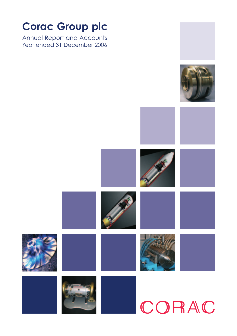# **Corac Group plc**

Annual Report and Accounts Year ended 31 December 2006



CORAC



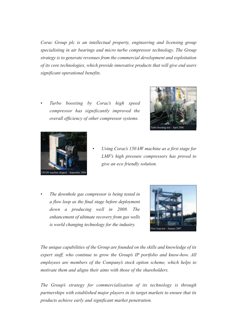*Corac Group plc is an intellectual property, engineering and licensing group specialisting in air bearings and micro turbo compressor technology. The Group strategy is to generate revenues from the commercial development and exploitation of its core technologies, which provide innovative products that will give end users significant operational benefits.*

*• Turbo boosting by Corac's high speed compressor has significantly improved the overall efficiency of other compressor systems.*





- *Using Corac's 150 kW machine as a first stage for LMF's high pressure compressors has proved to give an eco friendly solution.*
- *The downhole gas compressor is being tested in a flow loop as the final stage before deployment down a producing well in 2008. The enhancement of ultimate recovery from gas wells is world changing technology for the industry.*



*The unique capabilities of the Group are founded on the skills and knowledge of its expert staff, who continue to grow the Group's IP portfolio and know-how. All employees are members of the Company's stock option scheme, which helps to motivate them and aligns their aims with those of the shareholders.*

*The Group's strategy for commercialisation of its technology is through partnerships with established major players in its target markets to ensure that its products achieve early and significant market penetration.*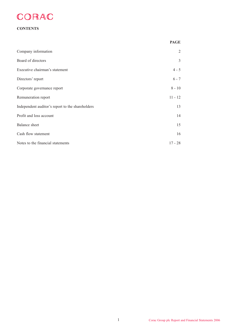# **CONTENTS**

|                                                  | <b>PAGE</b> |
|--------------------------------------------------|-------------|
| Company information                              | 2           |
| Board of directors                               | 3           |
| Executive chairman's statement                   | $4 - 5$     |
| Directors' report                                | $6 - 7$     |
| Corporate governance report                      | $8 - 10$    |
| Remuneration report                              | $11 - 12$   |
| Independent auditor's report to the shareholders | 13          |
| Profit and loss account                          | 14          |
| Balance sheet                                    | 15          |
| Cash flow statement                              | 16          |
| Notes to the financial statements                | $17 - 28$   |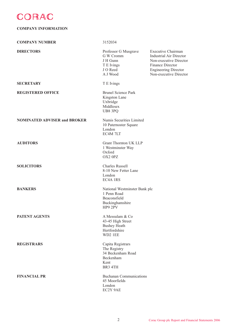# COMPANY INFORMATION

| <b>COMPANY NUMBER</b>               | 3152034                                                                                    |                                                                                                                                                             |
|-------------------------------------|--------------------------------------------------------------------------------------------|-------------------------------------------------------------------------------------------------------------------------------------------------------------|
| <b>DIRECTORS</b>                    | Professor G Musgrave<br>G W Cromm<br>J H Gunn<br>T E Ivings<br>J O Reed<br>A J Wood        | Executive Chairman<br><b>Industrial Air Director</b><br>Non-executive Director<br>Finance Director<br><b>Engineering Director</b><br>Non-executive Director |
| <b>SECRETARY</b>                    | T E Ivings                                                                                 |                                                                                                                                                             |
| <b>REGISTERED OFFICE</b>            | <b>Brunel Science Park</b><br>Kingston Lane<br>Uxbridge<br>Middlesex<br>UB8 3PQ            |                                                                                                                                                             |
| <b>NOMINATED ADVISER and BROKER</b> | Numis Securities Limited<br>10 Paternoster Square<br>London<br>EC4M 7LT                    |                                                                                                                                                             |
| <b>AUDITORS</b>                     | Grant Thornton UK LLP<br>1 Westminster Way<br>Oxford<br>OX2 0PZ                            |                                                                                                                                                             |
| <b>SOLICITORS</b>                   | <b>Charles Russell</b><br>8-10 New Fetter Lane<br>London<br>EC4A 1RS                       |                                                                                                                                                             |
| <b>BANKERS</b>                      | National Westminster Bank plc<br>1 Penn Road<br>Beaconsfield<br>Buckinghamshire<br>HP9 2PV |                                                                                                                                                             |
| <b>PATENT AGENTS</b>                | A Messulam & Co<br>43-45 High Street<br><b>Bushey Heath</b><br>Hertfordshire<br>WD2 1EE    |                                                                                                                                                             |
| <b>REGISTRARS</b>                   | Capita Registrars<br>The Registry<br>34 Beckenham Road<br>Beckenham<br>Kent<br>BR3 4TH     |                                                                                                                                                             |
| <b>FINANCIAL PR</b>                 | <b>Buchanan Communications</b><br>45 Moorfields<br>London<br>EC2Y 9AE                      |                                                                                                                                                             |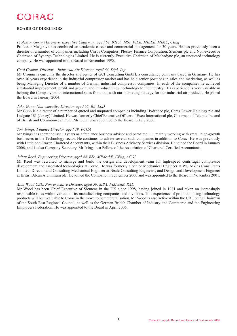# BOARD OF DIRECTORS

#### *Professor Gerry Musgrave, Executive Chairman, aged 64, BTech, MSc, FIEE, MIEEE, MIMC, CEng*

Professor Musgrave has combined an academic career and commercial management for 30 years. He has previously been a director of a number of companies including Cirrus Computers, Plessey Finance Corporation, Siemens plc and Non-executive Chairman of Synergo Technologies Limited. He is currently Executive Chairman of Mechadyne plc, an unquoted technology company. He was appointed to the Board in November 1998.

#### *Gerd Cromm, Director – Industrial Air Director, aged 64, Dipl.-Ing*

Mr Cromm is currently the director and owner of GCI Consulting GmbH, a consultancy company based in Germany. He has over 30 years experience in the industrial compressor market and has held senior positions in sales and marketing, as well as being Managing Director of a number of German industrial compressor companies. In each of the companies he achieved substantial improvement, profit and growth, and introduced new technology to the industry. His experience is very valuable in helping the Company on an international sales front and with our marketing strategy for our industrial air products. He joined the Board in January 2004.

#### *John Gunn, Non-executive Director, aged 65, BA, LLD*

Mr Gunn is a director of a number of quoted and unquoted companies including Hydrodec plc, Ceres Power Holdings plc and Ludgate 181 (Jersey) Limited. He was formerly Chief Executive Officer of Exco International plc, Chairman of Telerate Inc and of British and Commonwealth plc. Mr Gunn was appointed to the Board in July 2000.

#### *Tom Ivings, Finance Director, aged 39, FCCA*

Mr Ivings has spent the last 10 years as a freelance business advisor and part-time FD, mainly working with small, high-growth businesses in the Technology sector. He continues to advise several such companies in addition to Corac. He was previously with Littlejohn Frazer, Chartered Accountants, within their Business Advisory Services division. He joined the Board in January 2006, and is also Company Secretary. Mr Ivings is a Fellow of the Association of Chartered Certified Accountants.

#### *Julian Reed, Engineering Director, aged 44, BSc, MIMechE, CEng, ACGI*

Mr Reed was recruited to manage and build the design and development team for high-speed centrifugal compressor development and associated technologies at Corac. He was formerly a Senior Mechanical Engineer at WS Atkins Consultants Limited, Director and Consulting Mechanical Engineer at Neale Consulting Engineers, and Design and Development Engineer at British Alcan Aluminium plc. He joined the Company in September 2000 and was appointed to the Board in November 2001.

#### *Alan Wood CBE, Non-executive Director, aged 59, MBA, FIMechE, RAE*

Mr Wood has been Chief Executive of Siemens in the UK since 1998, having joined in 1981 and taken on increasingly responsible roles within various of its manufacturing companies and divisions. This experience of productionising technology products will be invaluable to Corac in the move to commercialisation. Mr Wood is also active within the CBI, being Chairman of the South East Regional Council, as well as the German-British Chamber of Industry and Commerce and the Engineering Employers Federation. He was appointed to the Board in April 2006.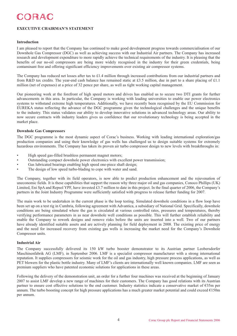# EXECUTIVE CHAIRMAN'S STATEMENT

### Introduction

I am pleased to report that the Company has continued to make good development progress towards commercialisation of our Downhole Gas Compressor (DGC) as well as achieving success with our Industrial Air partners. The Company has increased research and development expenditure to more rapidly achieve the technical requirements of the industry. It is pleasing that the benefits of our no-oil compressors are being more widely recognised in the industry for their green credentials, being contaminant free and offering significant efficiency improvements over existing air compressor systems.

The Company has reduced net losses after tax to £1.4 million through increased contributions from our industrial partners and from R&D tax credits. The year-end cash balance has remained static at £3.5 million, due in part to a share placing of £1.1 million (net of expenses) at a price of 32 pence per share, as well as tight working capital management.

Our pioneering work at the forefront of high speed motors and drives has enabled us to secure two DTI grants for further advancements in this area. In particular, the Company is working with leading universities to enable our power electronics systems to withstand extreme high temperatures. Additionally, we have recently been recognised by the EU Commission for EUREKA status reflecting the advance of the DGC programme given the technological challenges and the unique benefits to the industry. This status validates our ability to develop innovative solutions in advanced technology areas. Our ability to now secure contracts with industry leaders gives us confidence that our revolutionary technology is being accepted in the market place.

#### Downhole Gas Compressors

The DGC programme is the most dynamic aspect of Corac's business. Working with leading international exploration/gas production companies and using their knowledge of gas wells has challenged us to design suitable systems for extremely hazardous environments. The Company has taken its proven air turbo compressor design to new levels with breakthroughs in:

- High speed gas-filled brushless permanent magnet motors;
- Outstanding compact downhole power electronics with excellent power transmission;
- Gas lubricated bearings enabling high speed one-piece shaft design;
- The design of low speed turbo-blading to cope with water and sand.

The Company, together with its field operators, is now able to predict production enhancement and the rejuvenation of uneconomic fields. It is these capabilities that support the reason why three major oil and gas companies, Conoco Phillips (UK) Limited, Eni SpA and Repsol YPF, have invested £3.7 million to date in this project. In the final quarter of 2006, the Company's partners in the Joint Industry Programme were sufficiently satisfied with progress to release further funding for 2007.

The main work to be undertaken in the current phase is the loop testing. Simulated downhole conditions in a flow loop have been set up on a test rig in Cumbria, following agreement with Advantica, a subsidiary of National Grid. Specifically, downhole conditions are being simulated where the gas is circulated at various controlled rates, pressures and temperatures, thereby verifying performance parameters in as near downhole well conditions as possible. This will further establish reliability and enable the Company to rework designs and remove risks before the units are inserted into a well. Two of our partners have already identified suitable assets and are actively planning for field deployment in 2008. The existing price of energy and the need for increased recovery from existing gas wells is increasing the market need for the Company's Downhole Compressor units.

#### Industrial Air

The Company successfully delivered its 150 kW turbo booster demonstrator to its Austrian partner Leobersdorfer Maschinenfabrik AG (LMF), in September 2006. LMF is a specialist compressor manufacturer with a strong international reputation. It supplies compressors for seismic work for the oil and gas industry, high pressure process applications, as well as PET blowers for the plastic bottle industry. Many of LMF's clients are internationally well known companies. LMF are seen as premium suppliers who have patented economic solutions for applications in these areas.

Following the delivery of the demonstration unit, an order for a further four machines was received at the beginning of January 2007 to assist LMF develop a new range of machines for their customers. The Company has good relations with its Austrian partner to ensure cost effective solutions to the end customer. Industry statistics indicate a conservative market of €35m per annum. The turbo boosting concept for high pressure applications has a much greater market potential and could exceed  $\epsilon$ 150m per annum.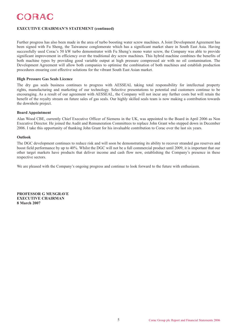### EXECUTIVE CHAIRMAN'S STATEMENT (continued)

Further progress has also been made in the area of turbo boosting water screw machines. A Joint Development Agreement has been signed with Fu Sheng, the Taiwanese conglomerate which has a significant market share in South East Asia. Having successfully used Corac's 50 kW turbo demonstrator with Fu Sheng's mono water screw, the Company was able to provide significant improvement in efficiency over the traditional dry screw machines. This hybrid machine combines the benefits of both machine types by providing good variable output at high pressure compressed air with no oil contamination. The Development Agreement will allow both companies to optimise the combination of both machines and establish production procedures ensuring cost effective solutions for the vibrant South East Asian market.

#### High Pressure Gas Seals Licence

The dry gas seals business continues to progress with AESSEAL taking total responsibility for intellectual property rights, manufacturing and marketing of our technology. Selective presentations to potential end customers continue to be encouraging. As a result of our agreement with AESSEAL, the Company will not incur any further costs but will retain the benefit of the royalty stream on future sales of gas seals. Our highly skilled seals team is now making a contribution towards the downhole project.

#### Board Appointment

Alan Wood CBE, currently Chief Executive Officer of Siemens in the UK, was appointed to the Board in April 2006 as Non Executive Director. He joined the Audit and Remuneration Committees to replace John Grant who stepped down in December 2006. I take this opportunity of thanking John Grant for his invaluable contribution to Corac over the last six years.

#### Outlook

The DGC development continues to reduce risk and will soon be demonstrating its ability to recover stranded gas reserves and boost field performance by up to 40%. Whilst the DGC will not be a full commercial product until 2009, it is important that our other target markets have products that deliver income and cash flow now, establishing the Company's presence in these respective sectors.

We are pleased with the Company's ongoing progress and continue to look forward to the future with enthusiasm.

PROFESSOR G MUSGRAVE EXECUTIVE CHAIRMAN 8 March 2007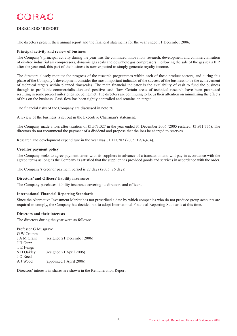# DIRECTORS' REPORT

The directors present their annual report and the financial statements for the year ended 31 December 2006.

#### Principal activity and review of business

The Company's principal activity during the year was the continued innovation, research, development and commercialisation of oil-free industrial air compressors, dynamic gas seals and downhole gas compressors. Following the sale of the gas seals IPR after the year end, this part of the business is now expected to simply generate royalty income.

The directors closely monitor the progress of the research programmes within each of these product sectors, and during this phase of the Company's development consider the most important indicator of the success of the business to be the achievement of technical targets within planned timescales. The main financial indicator is the availability of cash to fund the business through to profitable commercialisation and positive cash flow. Certain areas of technical research have been protracted resulting in some project milestones not being met. The directors are continuing to focus their attention on minimising the effects of this on the business. Cash flow has been tightly controlled and remains on target.

The financial risks of the Company are discussed in note 20.

A review of the business is set out in the Executive Chairman's statement.

The Company made a loss after taxation of £1,373,027 in the year ended 31 December 2006 (2005 restated: £1,911,776). The directors do not recommend the payment of a dividend and propose that the loss be charged to reserves.

Research and development expenditure in the year was £1,117,287 (2005: £974,434).

#### Creditor payment policy

The Company seeks to agree payment terms with its suppliers in advance of a transaction and will pay in accordance with the agreed terms as long as the Company is satisfied that the supplier has provided goods and services in accordance with the order.

The Company's creditor payment period is 27 days (2005: 26 days).

#### Directors' and Officers' liability insurance

The Company purchases liability insurance covering its directors and officers.

#### International Financial Reporting Standards

Since the Alternative Investment Market has not prescribed a date by which companies who do not produce group accounts are required to comply, the Company has decided not to adopt International Financial Reporting Standards at this time.

#### Directors and their interests

The directors during the year were as follows:

Professor G Musgrave G W Cromm J A M Grant (resigned 21 December 2006) J H Gunn T E Ivings S D Oakley (resigned 21 April 2006) J O Reed A J Wood (appointed 1 April 2006)

Directors' interests in shares are shown in the Remuneration Report.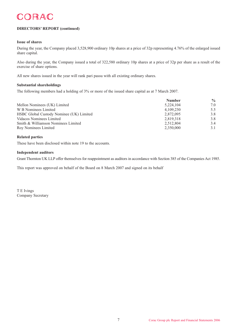# DIRECTORS' REPORT (continued)

### Issue of shares

During the year, the Company placed 3,528,900 ordinary 10p shares at a price of 32p representing 4.76% of the enlarged issued share capital.

Also during the year, the Company issued a total of 322,580 ordinary 10p shares at a price of 32p per share as a result of the exercise of share options.

All new shares issued in the year will rank pari passu with all existing ordinary shares.

### Substantial shareholdings

The following members had a holding of 3% or more of the issued share capital as at 7 March 2007.

|                                          | <b>Number</b> | $\frac{0}{0}$ |
|------------------------------------------|---------------|---------------|
| Mellon Nominees (UK) Limited             | 5,224,104     | 7.0           |
| W B Nominees Limited                     | 4,109,230     | 5.5           |
| HSBC Global Custody Nominee (UK) Limited | 2,872,095     | 3.8           |
| Vidacos Nominees Limited                 | 2,819,318     | 3.8           |
| Smith & Williamson Nominees Limited      | 2,512,804     | 3.4           |
| Roy Nominees Limited                     | 2,350,000     | 3.1           |

#### Related parties

These have been disclosed within note 19 to the accounts.

### Independent auditors

Grant Thornton UK LLP offer themselves for reappointment as auditors in accordance with Section 385 of the Companies Act 1985.

This report was approved on behalf of the Board on 8 March 2007 and signed on its behalf

T E Ivings Company Secretary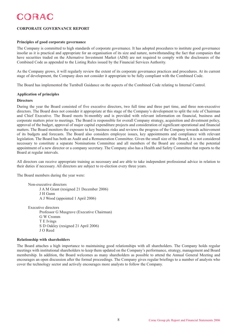# CORPORATE GOVERNANCE REPORT

#### Principles of good corporate governance

The Company is committed to high standards of corporate governance. It has adopted procedures to institute good governance insofar as it is practical and appropriate for an organisation of its size and nature, notwithstanding the fact that companies that have securities traded on the Alternative Investment Market (AIM) are not required to comply with the disclosures of the Combined Code as appended to the Listing Rules issued by the Financial Services Authority.

As the Company grows, it will regularly review the extent of its corporate governance practices and procedures. At its current stage of development, the Company does not consider it appropriate to be fully compliant with the Combined Code.

The Board has implemented the Turnbull Guidance on the aspects of the Combined Code relating to Internal Control.

#### Application of principles

#### **Directors**

During the year the Board consisted of five executive directors, two full time and three part time, and three non-executive directors. The Board does not consider it appropriate at this stage of the Company's development to split the role of Chairman and Chief Executive. The Board meets bi-monthly and is provided with relevant information on financial, business and corporate matters prior to meetings. The Board is responsible for overall Company strategy, acquisition and divestment policy, approval of the budget, approval of major capital expenditure projects and consideration of significant operational and financial matters. The Board monitors the exposure to key business risks and reviews the progress of the Company towards achievement of its budgets and forecasts. The Board also considers employee issues, key appointments and compliance with relevant legislation. The Board has both an Audit and a Remuneration Committee. Given the small size of the Board, it is not considered necessary to constitute a separate Nominations Committee and all members of the Board are consulted on the potential appointment of a new director or a company secretary. The Company also has a Health and Safety Committee that reports to the Board at regular intervals.

All directors can receive appropriate training as necessary and are able to take independent professional advice in relation to their duties if necessary. All directors are subject to re-election every three years.

The Board members during the year were:

Non-executive directors J A M Grant (resigned 21 December 2006) J H Gunn A J Wood (appointed 1 April 2006)

Executive directors Professor G Musgrave (Executive Chairman) G W Cromm T E Ivings S D Oakley (resigned 21 April 2006) J O Reed

#### Relationship with shareholders

The Board attaches a high importance to maintaining good relationships with all shareholders. The Company holds regular meetings with institutional shareholders to keep them updated on the Company's performance, strategy, management and Board membership. In addition, the Board welcomes as many shareholders as possible to attend the Annual General Meeting and encourages an open discussion after the formal proceedings. The Company gives regular briefings to a number of analysts who cover the technology sector and actively encourages more analysts to follow the Company.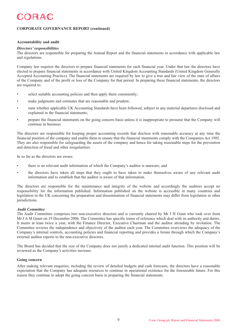### CORPORATE GOVERNANCE REPORT (continued)

# Accountability and audit

#### *Directors' responsibilities*

The directors are responsible for preparing the Annual Report and the financial statements in accordance with applicable law and regulations.

Company law requires the directors to prepare financial statements for each financial year. Under that law the directors have elected to prepare financial statements in accordance with United Kingdom Accounting Standards (United Kingdom Generally Accepted Accounting Practice). The financial statements are required by law to give a true and fair view of the state of affairs of the Company and of the profit or loss of the Company for that period. In preparing these financial statements, the directors are required to:

- select suitable accounting policies and then apply them consistently:
- make judgments and estimates that are reasonable and prudent;
- state whether applicable UK Accounting Standards have been followed, subject to any material departures disclosed and explained in the financial statements;
- prepare the financial statements on the going concern basis unless it is inappropriate to presume that the Company will continue in business.

The directors are responsible for keeping proper accounting records that disclose with reasonable accuracy at any time the financial position of the company and enable them to ensure that the financial statements comply with the Companies Act 1985. They are also responsible for safeguarding the assets of the company and hence for taking reasonable steps for the prevention and detection of fraud and other irregularities.

In so far as the directors are aware:

- there is no relevant audit information of which the Company's auditor is unaware; and
- the directors have taken all steps that they ought to have taken to make themselves aware of any relevant audit information and to establish that the auditor is aware of that information.

The directors are responsible for the maintenance and integrity of the website and accordingly the auditors accept no responsibility for the information published. Information published on the website is accessible in many countries and legislation in the UK concerning the preparation and dissemination of financial statements may differ from legislation in other jurisdictions.

#### *Audit Committee*

The Audit Committee comprises two non-executive directors and is currently chaired by Mr J H Gunn who took over from Mr J A M Grant on 19 December 2006. The Committee has specific terms of reference which deal with its authority and duties. It meets at least twice a year, with the Finance Director, Executive Chairman and the auditor attending by invitation. The Committee reviews the independence and objectivity of the auditor each year. The Committee overviews the adequacy of the Company's internal controls, accounting policies and financial reporting and provides a forum through which the Company's external auditor reports to the non-executive directors.

The Board has decided that the size of the Company does not justify a dedicated internal audit function. This position will be reviewed as the Company's activities increase.

#### Going concern

After making relevant enquiries, including the review of detailed budgets and cash forecasts, the directors have a reasonable expectation that the Company has adequate resources to continue in operational existence for the foreseeable future. For this reason they continue to adopt the going concern basis in preparing the financial statements.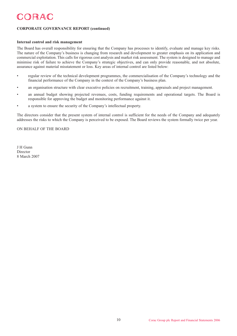# CORPORATE GOVERNANCE REPORT (continued)

#### Internal control and risk management

The Board has overall responsibility for ensuring that the Company has processes to identify, evaluate and manage key risks. The nature of the Company's business is changing from research and development to greater emphasis on its application and commercial exploitation. This calls for rigorous cost analysis and market risk assessment. The system is designed to manage and minimise risk of failure to achieve the Company's strategic objectives, and can only provide reasonable, and not absolute, assurance against material misstatement or loss. Key areas of internal control are listed below:

- regular review of the technical development programmes, the commercialisation of the Company's technology and the financial performance of the Company in the context of the Company's business plan.
- an organisation structure with clear executive policies on recruitment, training, appraisals and project management.
- an annual budget showing projected revenues, costs, funding requirements and operational targets. The Board is responsible for approving the budget and monitoring performance against it.
- a system to ensure the security of the Company's intellectual property.

The directors consider that the present system of internal control is sufficient for the needs of the Company and adequately addresses the risks to which the Company is perceived to be exposed. The Board reviews the system formally twice per year.

ON BEHALF OF THE BOARD

J H Gunn Director 8 March 2007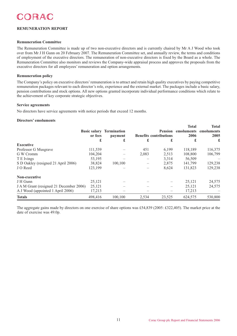### REMUNERATION REPORT

### Remuneration Committee

The Remuneration Committee is made up of two non-executive directors and is currently chaired by Mr A J Wood who took over from Mr J H Gunn on 20 February 2007. The Remuneration Committee set, and annually review, the terms and conditions of employment of the executive directors. The remuneration of non-executive directors is fixed by the Board as a whole. The Remuneration Committee also monitors and reviews the Company-wide appraisal process and approves the proposals from the executive directors for all employees' remuneration and option arrangements.

#### Remuneration policy

The Company's policy on executive directors' remuneration is to attract and retain high quality executives by paying competitive remuneration packages relevant to each director's role, experience and the external market. The packages include a basic salary, pension contributions and stock options. All new options granted incorporate individual performance conditions which relate to the achievement of key corporate strategic objectives.

#### Service agreements

No directors have service agreements with notice periods that exceed 12 months.

#### Directors' emoluments

|                                         |         |                                 |                 |                               | <b>Total</b> | <b>Total</b> |
|-----------------------------------------|---------|---------------------------------|-----------------|-------------------------------|--------------|--------------|
|                                         |         | <b>Basic salary Termination</b> |                 | Pension                       | emoluments   | emoluments   |
|                                         | or fees | payment                         |                 | <b>Benefits contributions</b> | 2006         | 2005         |
|                                         | £       | £                               | £               | £                             | £            | £            |
| <b>Executive</b>                        |         |                                 |                 |                               |              |              |
| Professor G Musgrave                    | 111,539 |                                 | 451             | 6,199                         | 118,189      | 116,375      |
| G W Cromm                               | 104.204 |                                 | 2,083           | 2,513                         | 108,800      | 106,799      |
| T E Ivings                              | 53,195  |                                 |                 | 3,314                         | 56,509       |              |
| S D Oakley (resigned 21 April 2006)     | 38,824  | 100,100                         | $\qquad \qquad$ | 2,875                         | 141,799      | 129,238      |
| J O Reed                                | 123,199 |                                 |                 | 8,624                         | 131,823      | 129,238      |
| Non-executive                           |         |                                 |                 |                               |              |              |
| J H Gunn                                | 25,121  |                                 |                 |                               | 25,121       | 24,575       |
| J A M Grant (resigned 21 December 2006) | 25,121  |                                 |                 |                               | 25,121       | 24,575       |
| A J Wood (appointed 1 April 2006)       | 17,213  |                                 |                 |                               | 17,213       |              |
| <b>Totals</b>                           | 498,416 | 100,100                         | 2,534           | 23,525                        | 624,575      | 530,800      |

The aggregate gains made by directors on one exercise of share options was £54,839 (2005: £322,405). The market price at the date of exercise was 49.0p.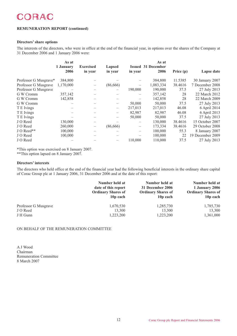### REMUNERATION REPORT (continued)

#### Directors' share options

The interests of the directors, who were in office at the end of the financial year, in options over the shares of the Company at 31 December 2006 and 1 January 2006 were:

|                       | As at<br>1 January<br>2006 | <b>Exercised</b><br>in year | Lapsed<br>in year | in year | As at<br><b>Issued 31 December</b><br>2006 | Price (p) | Lapse date       |
|-----------------------|----------------------------|-----------------------------|-------------------|---------|--------------------------------------------|-----------|------------------|
| Professor G Musgrave* | 384,800                    |                             |                   |         | 384,800                                    | 11.5385   | 30 January 2007  |
| Professor G Musgrave  | 1,170,000                  | -                           | (86,666)          |         | 1,083,334                                  | 38.4616   | 7 December 2008  |
| Professor G Musgrave  |                            |                             |                   | 190,000 | 190,000                                    | 37.5      | 27 July 2013     |
| G W Cromm             | 357,142                    |                             |                   |         | 357,142                                    | 28        | 22 March 2012    |
| G W Cromm             | 142,858                    |                             |                   |         | 142,858                                    | 28        | 22 March 2009    |
| G W Cromm             |                            |                             |                   | 50,000  | 50,000                                     | 37.5      | 27 July 2013     |
| T E Ivings            |                            |                             | $\qquad \qquad$   | 217,013 | 217,013                                    | 46.08     | 6 April 2014     |
| T E Ivings            |                            |                             |                   | 82,987  | 82,987                                     | 46.08     | 6 April 2013     |
| T E Ivings            |                            |                             |                   | 50,000  | 50,000                                     | 37.5      | 27 July 2013     |
| J O Reed              | 130,000                    |                             |                   |         | 130,000                                    | 38.4616   | 15 October 2007  |
| J O Reed              | 260,000                    | -                           | (86,666)          |         | 173,334                                    | 38.4616   | 29 October 2008  |
| J O Reed**            | 100,000                    |                             |                   |         | 100,000                                    | 55.3      | 8 January 2007   |
| J O Reed              | 100,000                    |                             |                   |         | 100,000                                    | 22        | 19 December 2009 |
| J O Reed              |                            |                             |                   | 110,000 | 110,000                                    | 37.5      | 27 July 2013     |

\*This option was exercised on 8 January 2007.

\*\*This option lapsed on 8 January 2007.

#### Directors' interests

The directors who held office at the end of the financial year had the following beneficial interests in the ordinary share capital of Corac Group plc at 1 January 2006, 31 December 2006 and at the date of this report:

|                      | Number held at<br>date of this report<br><b>Ordinary Shares of</b><br>10 <sub>p</sub> each | Number held at<br>31 December 2006<br><b>Ordinary Shares of</b><br>10 <sub>p</sub> each | Number held at<br>1 January 2006<br><b>Ordinary Shares of</b><br>10 <sub>p</sub> each |
|----------------------|--------------------------------------------------------------------------------------------|-----------------------------------------------------------------------------------------|---------------------------------------------------------------------------------------|
| Professor G Musgrave | 1,670,530                                                                                  | 1,285,730                                                                               | 1,785,730                                                                             |
| J O Reed             | 13,300                                                                                     | 13,300                                                                                  | 13,300                                                                                |
| J H Gunn             | 1,223,200                                                                                  | 1,223,200                                                                               | 1,361,000                                                                             |

#### ON BEHALF OF THE REMUNERATION COMMITTEE

A J Wood Chairman Remuneration Committee 8 March 2007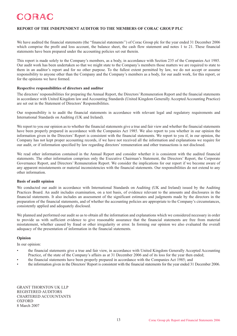### REPORT OF THE INDEPENDENT AUDITOR TO THE MEMBERS OF CORAC GROUP PLC

We have audited the financial statements (the "financial statements") of Corac Group plc for the year ended 31 December 2006 which comprise the profit and loss account, the balance sheet, the cash flow statement and notes 1 to 21. These financial statements have been prepared under the accounting policies set out therein.

This report is made solely to the Company's members, as a body, in accordance with Section 235 of the Companies Act 1985. Our audit work has been undertaken so that we might state to the Company's members those matters we are required to state to them in an auditor's report and for no other purpose. To the fullest extent permitted by law, we do not accept or assume responsibility to anyone other than the Company and the Company's members as a body, for our audit work, for this report, or for the opinions we have formed.

#### Respective responsibilities of directors and auditor

The directors' responsibilities for preparing the Annual Report, the Directors' Remuneration Report and the financial statements in accordance with United Kingdom law and Accounting Standards (United Kingdom Generally Accepted Accounting Practice) are set out in the Statement of Directors' Responsibilities.

Our responsibility is to audit the financial statements in accordance with relevant legal and regulatory requirements and International Standards on Auditing (UK and Ireland).

We report to you our opinion as to whether the financial statements give a true and fair view and whether the financial statements have been properly prepared in accordance with the Companies Act 1985. We also report to you whether in our opinion the information given in the Directors' Report is consistent with the financial statements. We report to you if, in our opinion, the Company has not kept proper accounting records, if we have not received all the information and explanations we require for our audit, or if information specified by law regarding directors' remuneration and other transactions is not disclosed.

We read other information contained in the Annual Report and consider whether it is consistent with the audited financial statements. The other information comprises only the Executive Chairman's Statement, the Directors' Report, the Corporate Governance Report, and Directors' Remuneration Report. We consider the implications for our report if we become aware of any apparent misstatements or material inconsistencies with the financial statements. Our responsibilities do not extend to any other information.

### Basis of audit opinion

We conducted our audit in accordance with International Standards on Auditing (UK and Ireland) issued by the Auditing Practices Board. An audit includes examination, on a test basis, of evidence relevant to the amounts and disclosures in the financial statements. It also includes an assessment of the significant estimates and judgments made by the directors in the preparation of the financial statements, and of whether the accounting policies are appropriate to the Company's circumstances, consistently applied and adequately disclosed.

We planned and performed our audit so as to obtain all the information and explanations which we considered necessary in order to provide us with sufficient evidence to give reasonable assurance that the financial statements are free from material misstatement, whether caused by fraud or other irregularity or error. In forming our opinion we also evaluated the overall adequacy of the presentation of information in the financial statements.

#### Opinion

In our opinion:

- the financial statements give a true and fair view, in accordance with United Kingdom Generally Accepted Accounting Practice, of the state of the Company's affairs as at 31 December 2006 and of its loss for the year then ended;
- the financial statements have been properly prepared in accordance with the Companies Act 1985; and
- the information given in the Directors' Report is consistent with the financial statements for the year ended 31 December 2006.

GRANT THORNTON UK LLP REGISTERED AUDITORS CHARTERED ACCOUNTANTS **OXFORD** 8 March 2007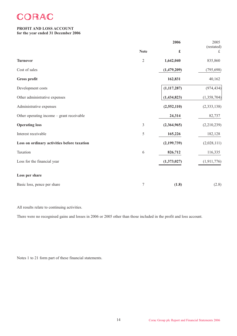### PROFIT AND LOSS ACCOUNT for the year ended 31 December 2006

|                                             |                  | 2006                 | 2005            |
|---------------------------------------------|------------------|----------------------|-----------------|
|                                             | <b>Note</b>      | $\pmb{\mathfrak{L}}$ | (restated)<br>£ |
| <b>Turnover</b>                             | $\overline{c}$   | 1,642,040            | 835,860         |
| Cost of sales                               |                  | (1,479,209)          | (795, 698)      |
| Gross profit                                |                  | 162,831              | 40,162          |
| Development costs                           |                  | (1, 117, 287)        | (974, 434)      |
| Other administrative expenses               |                  | (1,434,823)          | (1,358,704)     |
| Administrative expenses                     |                  | (2,552,110)          | (2, 333, 138)   |
| Other operating income – grant receivable   |                  | 24,314               | 82,737          |
| <b>Operating loss</b>                       | 3                | (2,364,965)          | (2,210,239)     |
| Interest receivable                         | 5                | 165,226              | 182,128         |
| Loss on ordinary activities before taxation |                  | (2,199,739)          | (2,028,111)     |
| Taxation                                    | 6                | 826,712              | 116,335         |
| Loss for the financial year                 |                  | (1,373,027)          | (1,911,776)     |
| Loss per share                              |                  |                      |                 |
| Basic loss, pence per share                 | $\boldsymbol{7}$ | (1.8)                | (2.8)           |

All results relate to continuing activities.

There were no recognised gains and losses in 2006 or 2005 other than those included in the profit and loss account.

Notes 1 to 21 form part of these financial statements.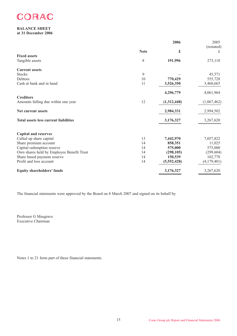### BALANCE SHEET at 31 December 2006

|                                              |             | 2006        | 2005            |
|----------------------------------------------|-------------|-------------|-----------------|
|                                              | <b>Note</b> | £           | (restated)<br>£ |
| <b>Fixed assets</b>                          |             |             |                 |
| Tangible assets                              | 8           | 191,996     | 273,118         |
| <b>Current assets</b>                        |             |             |                 |
| <b>Stocks</b>                                | 9           |             | 45,571          |
| Debtors                                      | 10          | 770,429     | 555,728         |
| Cash at bank and in hand                     | 11          | 3,526,350   | 3,460,665       |
|                                              |             | 4,296,779   | 4,061,964       |
| <b>Creditors</b>                             |             |             |                 |
| Amounts falling due within one year          | 12          | (1,312,448) | (1,067,462)     |
| <b>Net current assets</b>                    |             | 2,984,331   | 2,994,502       |
| <b>Total assets less current liabilities</b> |             | 3,176,327   | 3,267,620       |
| <b>Capital and reserves</b>                  |             |             |                 |
| Called up share capital                      | 13          | 7,442,970   | 7,057,822       |
| Share premium account                        | 14          | 858,351     | 11,025          |
| Capital redemption reserve                   | 14          | 575,000     | 575,000         |
| Own shares held by Employee Benefit Trust    | 14          | (298, 105)  | (299, 604)      |
| Share based payment reserve                  | 14          | 150,539     | 102,778         |
| Profit and loss account                      | 14          | (5,552,428) | (4, 179, 401)   |
| <b>Equity shareholders' funds</b>            |             | 3,176,327   | 3,267,620       |

The financial statements were approved by the Board on 8 March 2007 and signed on its behalf by

Professor G Musgrave Executive Chairman

Notes 1 to 21 form part of these financial statements.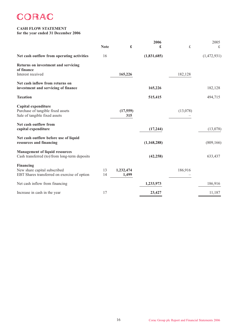

# CASH FLOW STATEMENT for the year ended 31 December 2006

|             |                    | 2006          |           | 2005        |
|-------------|--------------------|---------------|-----------|-------------|
| <b>Note</b> | £                  | £             | $\pounds$ | £           |
| 16          |                    | (1,831,685)   |           | (1,472,931) |
|             |                    |               |           |             |
|             | 165,226            |               | 182,128   |             |
|             |                    | 165,226       |           | 182,128     |
|             |                    | 515,415       |           | 494,715     |
|             | (17, 559)<br>315   |               | (13,078)  |             |
|             |                    | (17, 244)     |           | (13,078)    |
|             |                    | (1, 168, 288) |           | (809, 166)  |
|             |                    | (42, 258)     |           | 633,437     |
| 13<br>14    | 1,232,474<br>1,499 |               | 186,916   |             |
|             |                    | 1,233,973     |           | 186,916     |
| 17          |                    | 23,427        |           | 11,187      |
|             |                    |               |           |             |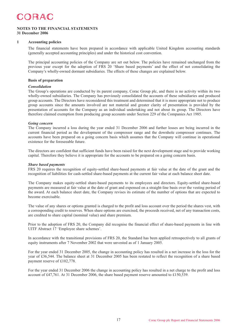#### NOTES TO THE FINANCIAL STATEMENTS 31 December 2006

#### 1 Accounting policies

The financial statements have been prepared in accordance with applicable United Kingdom accounting standards (generally accepted accounting principles) and under the historical cost convention.

The principal accounting policies of the Company are set out below. The policies have remained unchanged from the previous year except for the adoption of FRS 20 'Share based payments' and the effect of not consolidating the Company's wholly-owned dormant subsidiaries. The effects of these changes are explained below.

#### Basis of preparation

#### *Consolidation*

The Group's operations are conducted by its parent company, Corac Group plc, and there is no activity within its two wholly-owned subsidiaries. The Company has previously consolidated the accounts of these subsidiaries and produced group accounts. The Directors have reconsidered this treatment and determined that it is more appropriate not to produce group accounts since the amounts involved are not material and greater clarity of presentation is provided by the presentation of accounts for the Company as an individual undertaking and not about its group. The Directors have therefore claimed exemption from producing group accounts under Section 229 of the Companies Act 1985.

#### *Going concern*

The Company incurred a loss during the year ended 31 December 2006 and further losses are being incurred in the current financial period as the development of the compressor range and the downhole compressor continues. The accounts have been prepared on a going concern basis which assumes that the Company will continue in operational existence for the foreseeable future.

The directors are confident that sufficient funds have been raised for the next development stage and to provide working capital. Therefore they believe it is appropriate for the accounts to be prepared on a going concern basis.

#### *Share based payments*

FRS 20 requires the recognition of equity-settled share-based payments at fair value at the date of the grant and the recognition of liabilities for cash-settled share-based payments at the current fair value at each balance sheet date.

The Company makes equity-settled share-based payments to its employees and directors. Equity-settled share-based payments are measured at fair value at the date of grant and expensed on a straight-line basis over the vesting period of the award. At each balance sheet date, the Company revises its estimate of the number of options that are expected to become exercisable.

The value of any shares or options granted is charged to the profit and loss account over the period the shares vest, with a corresponding credit to reserves. When share options are exercised, the proceeds received, net of any transaction costs, are credited to share capital (nominal value) and share premium.

Prior to the adoption of FRS 20, the Company did recognise the financial effect of share-based payments in line with UITF Abstract 17 'Employee share schemes'.

In accordance with the transitional provisions of FRS 20, the Standard has been applied retrospectively to all grants of equity instruments after 7 November 2002 that were unvested as of 1 January 2005.

For the year ended 31 December 2005, the change in accounting policy has resulted in a net increase in the loss for the year of £36,544. The balance sheet at 31 December 2005 has been restated to reflect the recognition of a share based payment reserve of £102,778.

For the year ended 31 December 2006 the change in accounting policy has resulted in a net charge to the profit and loss account of £47,761. At 31 December 2006, the share based payment reserve amounted to £150,539.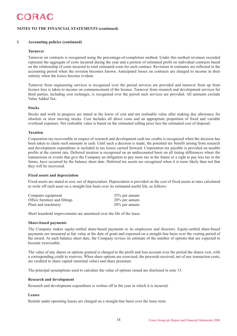### NOTES TO THE FINANCIAL STATEMENTS (continued)

#### 1 Accounting policies (continued)

#### Turnover

Turnover on contracts is recognised using the percentage-of-completion method. Under this method revenues recorded represent the aggregate of costs incurred during the year and a portion of estimated profit on individual contracts based on the relationship of costs incurred to total estimated costs for each contract. Revisions in estimates are reflected in the accounting period when the revision becomes known. Anticipated losses on contracts are charged to income in their entirety when the losses become evident.

Turnover from engineering services is recognised over the period services are provided and turnover from up front licence fees is taken to income on commencement of the licence. Turnover from research and development services for third parties, including cost recharges, is recognised over the period such services are provided. All amounts exclude Value Added Tax.

#### **Stocks**

Stocks and work in progress are stated at the lower of cost and net realisable value after making due allowance for obsolete or slow moving stocks. Cost includes all direct costs and an appropriate proportion of fixed and variable overhead expenses. Net realisable value is based on the estimated selling price less the estimated cost of disposal.

#### Taxation

Corporation tax recoverable in respect of research and development cash tax credits is recognised when the decision has been taken to claim such amounts in cash. Until such a decision is made, the potential tax benefit arising from research and development expenditure is included in tax losses carried forward. Corporation tax payable is provided on taxable profits at the current rate. Deferred taxation is recognised on an undiscounted basis on all timing differences where the transactions or events that give the Company an obligation to pay more tax in the future or a right to pay less tax in the future, have occurred by the balance sheet date. Deferred tax assets are recognised when it is more likely than not that they will be recovered.

#### Fixed assets and depreciation

Fixed assets are stated at cost, net of depreciation. Depreciation is provided on the cost of fixed assets at rates calculated to write off each asset on a straight-line basis over its estimated useful life, as follows:

| Computer equipment            | 33% per annum    |
|-------------------------------|------------------|
| Office furniture and fittings | $20\%$ per annum |
| Plant and machinery           | $20\%$ per annum |

Short leasehold improvements are amortised over the life of the lease.

#### Share-based payments

The Company makes equity-settled share-based payments to its employees and directors. Equity-settled share-based payments are measured at fair value at the date of grant and expensed on a straight-line basis over the vesting period of the award. At each balance sheet date, the Company revises its estimate of the number of options that are expected to become exercisable.

The value of any shares or options granted is charged to the profit and loss account over the period the shares vest, with a corresponding credit to reserves. When share options are exercised, the proceeds received, net of any transaction costs, are credited to share capital (nominal value) and share premium.

The principal assumptions used to calculate the value of options issued are disclosed in note 13.

#### Research and development

Research and development expenditure is written off in the year in which it is incurred.

#### Leases

Rentals under operating leases are charged on a straight-line basis over the lease term.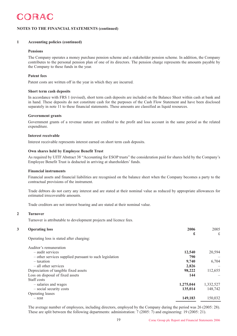#### NOTES TO THE FINANCIAL STATEMENTS (continued)

#### 1 Accounting policies (continued)

#### Pensions

The Company operates a money purchase pension scheme and a stakeholder pension scheme. In addition, the Company contributes to the personal pension plan of one of its directors. The pension charge represents the amounts payable by the Company to these funds in the year.

#### Patent fees

Patent costs are written off in the year in which they are incurred.

#### Short term cash deposits

In accordance with FRS 1 (revised), short term cash deposits are included on the Balance Sheet within cash at bank and in hand. These deposits do not constitute cash for the purposes of the Cash Flow Statement and have been disclosed separately in note 11 to these financial statements. These amounts are classified as liquid resources.

#### Government grants

Government grants of a revenue nature are credited to the profit and loss account in the same period as the related expenditure.

#### Interest receivable

Interest receivable represents interest earned on short term cash deposits.

#### Own shares held by Employee Benefit Trust

As required by UITF Abstract 38 "Accounting for ESOP trusts" the consideration paid for shares held by the Company's Employee Benefit Trust is deducted in arriving at shareholders' funds.

#### Financial instruments

Financial assets and financial liabilities are recognised on the balance sheet when the Company becomes a party to the contractual provisions of the instrument.

Trade debtors do not carry any interest and are stated at their nominal value as reduced by appropriate allowances for estimated irrecoverable amounts.

Trade creditors are not interest bearing and are stated at their nominal value.

#### 2 Turnover

Turnover is attributable to development projects and licence fees.

#### 3 Operating loss 2006 2005

|  |  | Operating loss is stated after charging: |
|--|--|------------------------------------------|
|--|--|------------------------------------------|

| 12,540    | 20,594    |
|-----------|-----------|
| 790       |           |
| 9.740     | 6,704     |
| 2,826     |           |
| 98,222    | 112,655   |
| 144       |           |
|           |           |
| 1,275,044 | 1,332,527 |
| 135,014   | 148,742   |
|           |           |
| 149,183   | 150.032   |
|           |           |

The average number of employees, including directors, employed by the Company during the period was 26 (2005: 28). These are split between the following departments: administration: 7 (2005: 7) and engineering: 19 (2005: 21).

 $f$   $f$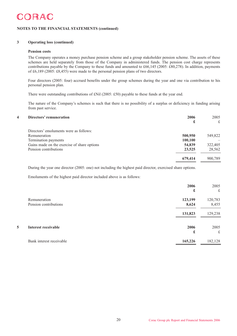### NOTES TO THE FINANCIAL STATEMENTS (continued)

#### 3 Operating loss (continued)

#### Pension costs

The Company operates a money purchase pension scheme and a group stakeholder pension scheme. The assets of these schemes are held separately from those of the Company in administered funds. The pension cost charge represents contributions payable by the Company to these funds and amounted to £66,145 (2005: £80,278). In addition, payments of £6,189 (2005: £8,455) were made to the personal pension plans of two directors.

Four directors (2005: four) accrued benefits under the group schemes during the year and one via contribution to his personal pension plan.

There were outstanding contributions of £Nil (2005: £50) payable to these funds at the year end.

The nature of the Company's schemes is such that there is no possibility of a surplus or deficiency in funding arising from past service.

| 4 | Directors' remuneration                     | 2006    | 2005    |
|---|---------------------------------------------|---------|---------|
|   |                                             |         | £       |
|   | Directors' emoluments were as follows:      |         |         |
|   | Remuneration                                | 500,950 | 549,822 |
|   | Termination payments                        | 100,100 |         |
|   | Gains made on the exercise of share options | 54,839  | 322,405 |
|   | Pension contributions                       | 23,525  | 28,562  |
|   |                                             | 679,414 | 900,789 |
|   |                                             |         |         |

During the year one director (2005: one) not including the highest paid director, exercised share options.

Emoluments of the highest paid director included above is as follows:

|   |                                       | 2006<br>£        | 2005<br>£        |
|---|---------------------------------------|------------------|------------------|
|   | Remuneration<br>Pension contributions | 123,199<br>8,624 | 120,783<br>8,455 |
|   |                                       | 131,823          | 129,238          |
| 5 |                                       |                  |                  |
|   | Interest receivable                   | 2006<br>£        | 2005<br>£        |
|   | Bank interest receivable              | 165,226          | 182,128          |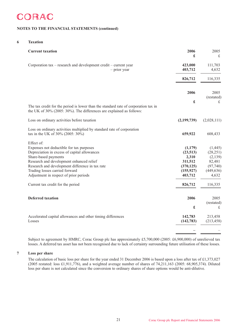### NOTES TO THE FINANCIAL STATEMENTS (continued)

#### 6 Taxation

| <b>Current taxation</b>                                                                                                                                                                                                                                                                                   | 2006<br>£                                                                      | 2005<br>£                                                                      |
|-----------------------------------------------------------------------------------------------------------------------------------------------------------------------------------------------------------------------------------------------------------------------------------------------------------|--------------------------------------------------------------------------------|--------------------------------------------------------------------------------|
| Corporation tax – research and development credit – current year<br>$-$ prior year                                                                                                                                                                                                                        | 423,000<br>403,712                                                             | 111,703<br>4,632                                                               |
|                                                                                                                                                                                                                                                                                                           | 826,712                                                                        | 116,335                                                                        |
| The tax credit for the period is lower than the standard rate of corporation tax in<br>the UK of 30% (2005: 30%). The differences are explained as follows:                                                                                                                                               | 2006<br>£                                                                      | 2005<br>(restated)<br>£                                                        |
| Loss on ordinary activities before taxation                                                                                                                                                                                                                                                               | (2,199,739)                                                                    | (2,028,111)                                                                    |
| Loss on ordinary activities multiplied by standard rate of corporation<br>tax in the UK of 30% (2005: 30%)                                                                                                                                                                                                | 659,922                                                                        | 608,433                                                                        |
| Effect of:<br>Expenses not deductible for tax purposes<br>Depreciation in excess of capital allowances<br>Share-based payments<br>Research and development enhanced relief<br>Research and development difference in tax rate<br>Trading losses carried forward<br>Adjustment in respect of prior periods | (1,179)<br>(23,513)<br>2,310<br>311,512<br>(370, 125)<br>(155, 927)<br>403,712 | (1, 445)<br>(28, 251)<br>(2,139)<br>82,481<br>(97, 740)<br>(449, 636)<br>4,632 |
| Current tax credit for the period                                                                                                                                                                                                                                                                         | 826,712                                                                        | 116,335                                                                        |
| <b>Deferred taxation</b>                                                                                                                                                                                                                                                                                  | 2006<br>£                                                                      | 2005<br>(restated)<br>£                                                        |
| Accelerated capital allowances and other timing differences<br>Losses                                                                                                                                                                                                                                     | 142,783<br>(142, 783)                                                          | 213,458<br>(213, 458)                                                          |

Subject to agreement by HMRC, Corac Group plc has approximately £5,700,000 (2005: £6,900,000) of unrelieved tax losses. A deferred tax asset has not been recognised due to lack of certainty surrounding future utilisation of these losses.

#### 7 Loss per share

The calculation of basic loss per share for the year ended 31 December 2006 is based upon a loss after tax of £1,373,027 (2005 restated: loss £1,911,776), and a weighted average number of shares of 74,211,163 (2005: 68,905,374). Diluted loss per share is not calculated since the conversion to ordinary shares of share options would be anti-dilutive.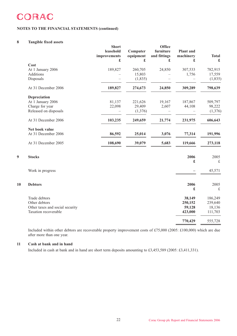# NOTES TO THE FINANCIAL STATEMENTS (continued)

# 8 Tangible fixed assets

|                                 | <b>Short</b><br>leasehold<br>improvements<br>£ | Computer<br>equipment<br>£ | <b>Office</b><br>furniture<br>and fittings<br>£ | <b>Plant</b> and<br>machinery<br>£ | <b>Total</b><br>£ |
|---------------------------------|------------------------------------------------|----------------------------|-------------------------------------------------|------------------------------------|-------------------|
| Cost                            |                                                |                            |                                                 |                                    |                   |
| At 1 January 2006               | 189,827                                        | 260,705                    | 24,850                                          | 307,533                            | 782,915           |
| Additions                       |                                                | 15,803                     |                                                 | 1,756                              | 17,559            |
| Disposals                       |                                                | (1, 835)                   |                                                 |                                    | (1, 835)          |
| At 31 December 2006             | 189,827                                        | 274,673                    | 24,850                                          | 309,289                            | 798,639           |
| Depreciation                    |                                                |                            |                                                 |                                    |                   |
| At 1 January 2006               | 81,137                                         | 221,626                    | 19,167                                          | 187,867                            | 509,797           |
| Charge for year                 | 22,098                                         | 29,409                     | 2,607                                           | 44,108                             | 98,222            |
| Released on disposals           |                                                | (1,376)                    |                                                 |                                    | (1, 376)          |
| At 31 December 2006             | 103,235                                        | 249,659                    | 21,774                                          | 231,975                            | 606,643           |
| Net book value                  |                                                |                            |                                                 |                                    |                   |
| At 31 December 2006             | 86,592                                         | 25,014                     | 3,076                                           | 77,314                             | 191,996           |
| At 31 December 2005             | 108,690                                        | 39,079                     | 5,683                                           | 119,666                            | 273,118           |
| 9<br><b>Stocks</b>              |                                                |                            |                                                 | 2006                               | 2005              |
|                                 |                                                |                            |                                                 | £                                  | $\mathbf f$       |
| Work in progress                |                                                |                            |                                                 |                                    | 45,571            |
| 10<br><b>Debtors</b>            |                                                |                            |                                                 | 2006                               | 2005              |
|                                 |                                                |                            |                                                 | £                                  | $\pounds$         |
| Trade debtors                   |                                                |                            |                                                 | 38,149                             | 186,249           |
| Other debtors                   |                                                |                            |                                                 | 250,152                            | 239,640           |
| Other taxes and social security |                                                |                            |                                                 | 59,128                             | 18,136            |
| Taxation recoverable            |                                                |                            |                                                 | 423,000                            | 111,703           |
|                                 |                                                |                            |                                                 | 770,429                            | 555,728           |

Included within other debtors are recoverable property improvement costs of £75,000 (2005: £100,000) which are due after more than one year.

### 11 Cash at bank and in hand

Included in cash at bank and in hand are short term deposits amounting to £3,453,589 (2005: £3,411,331).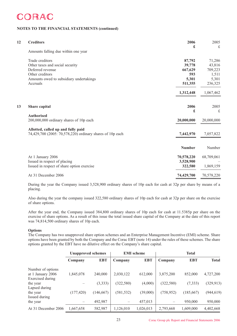### NOTES TO THE FINANCIAL STATEMENTS (continued)

| 12 | <b>Creditors</b>                                          | 2006<br>£     | 2005<br>£  |
|----|-----------------------------------------------------------|---------------|------------|
|    | Amounts falling due within one year                       |               |            |
|    | Trade creditors                                           | 87,792        | 71,286     |
|    | Other taxes and social security                           | 39,778        | 43,816     |
|    | Deferred revenue                                          | 667,629       | 709,223    |
|    | Other creditors                                           | 593           | 1,511      |
|    | Amounts owed to subsidiary undertakings                   | 5,301         | 5,301      |
|    | Accruals                                                  | 511,355       | 236,325    |
|    |                                                           | 1,312,448     | 1,067,462  |
| 13 | Share capital                                             | 2006<br>£     | 2005<br>£  |
|    | <b>Authorised</b>                                         |               |            |
|    | 200,000,000 ordinary shares of 10p each                   | 20,000,000    | 20,000,000 |
|    | Allotted, called up and fully paid                        |               |            |
|    | 74,429,700 (2005: 70,578,220) ordinary shares of 10p each | 7,442,970     | 7,057,822  |
|    |                                                           |               |            |
|    |                                                           | <b>Number</b> | Number     |
|    | At 1 January 2006                                         | 70,578,220    | 68,709,061 |
|    | Issued in respect of placing                              | 3,528,900     |            |
|    | Issued in respect of share option exercise                | 322,580       | 1,869,159  |
|    | At 31 December 2006                                       | 74,429,700    | 70,578,220 |
|    |                                                           |               |            |

During the year the Company issued 3,528,900 ordinary shares of 10p each for cash at 32p per share by means of a placing.

Also during the year the company issued 322,580 ordinary shares of 10p each for cash at 32p per share on the exercise of share options.

After the year end, the Company issued 384,800 ordinary shares of 10p each for cash at 11.5385p per share on the exercise of share options. As a result of this issue the total issued share capital of the Company at the date of this report was 74,814,500 ordinary shares of 10p each.

#### **Options**

The Company has two unapproved share option schemes and an Enterprise Management Incentive (EMI) scheme. Share options have been granted by both the Company and the Corac EBT (note 14) under the rules of these schemes. The share options granted by the EBT have no dilutive effect on the Company's share capital.

|                     | <b>Unapproved schemes</b> |            | <b>EMI</b> scheme |            | <b>Total</b> |            |              |
|---------------------|---------------------------|------------|-------------------|------------|--------------|------------|--------------|
|                     | Company                   | <b>EBT</b> | Company           | <b>EBT</b> | Company      | <b>EBT</b> | <b>Total</b> |
| Number of options   |                           |            |                   |            |              |            |              |
| at 1 January 2006   | 1,845,078                 | 240,000    | 2,030,122         | 612,000    | 3,875,200    | 852,000    | 4,727,200    |
| Exercised during    |                           |            |                   |            |              |            |              |
| the year            |                           | (3,333)    | (322, 580)        | (4,000)    | (322, 580)   | (7, 333)   | (329, 913)   |
| Lapsed during       |                           |            |                   |            |              |            |              |
| the year            | (177, 420)                | (146, 667) | (581, 532)        | (39,000)   | (758, 952)   | (185,667)  | (944, 619)   |
| Issued during       |                           |            |                   |            |              |            |              |
| the year            |                           | 492,987    |                   | 457,013    |              | 950,000    | 950,000      |
| At 31 December 2006 | 1,667,658                 | 582,987    | 1,126,010         | 1,026,013  | 2,793,668    | 1,609,000  | 4,402,668    |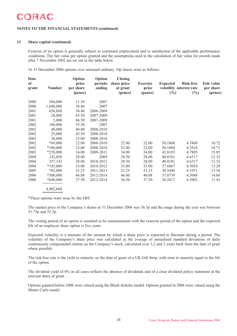### NOTES TO THE FINANCIAL STATEMENTS (continued)

#### 13 Share capital (continued)

Exercise of an option is generally subject to continued employment and to satisfaction of the applicable performance conditions. The fair value per option granted and the assumptions used in the calculation of fair value for awards made after 7 November 2002 are set out in the table below.

At 31 December 2006 options over unissued ordinary 10p shares were as follows:

| <b>Date</b><br>of<br>grant | <b>Number</b> | Option<br>price<br>per share<br>(pence) | Option<br>periods<br>ending | <b>Closing</b><br>share price<br>at grant<br>(pence) | <b>Exercise</b><br>price<br>(pence) | <b>Expected</b><br>$\binom{0}{0}$ | <b>Risk-free</b><br>volatility interest rate<br>$(\%)$ | Fair value<br>per share<br>(pence) |
|----------------------------|---------------|-----------------------------------------|-----------------------------|------------------------------------------------------|-------------------------------------|-----------------------------------|--------------------------------------------------------|------------------------------------|
| 2000                       | 384,800       | 11.54                                   | 2007                        |                                                      |                                     |                                   |                                                        |                                    |
| 2000                       | 1,040,000     | 38.46                                   | 2007                        |                                                      |                                     |                                   |                                                        |                                    |
| 2001                       | 650,868       | 38.46                                   | 2006-2009                   |                                                      |                                     |                                   |                                                        |                                    |
| 2001                       | 28,000        | 85.50                                   | 2007-2009                   |                                                      |                                     |                                   |                                                        |                                    |
| 2001                       | 5,000         | 86.50                                   | 2007-2009                   |                                                      |                                     |                                   |                                                        |                                    |
| 2002                       | 100,000       | 55.30                                   | 2007                        |                                                      |                                     |                                   |                                                        |                                    |
| 2002                       | 40,000        | 40.00                                   | 2008-2010                   |                                                      |                                     |                                   |                                                        |                                    |
| 2002                       | 25,000        | 43.50                                   | 2008-2010                   |                                                      |                                     |                                   |                                                        |                                    |
| 2002                       | 20,000        | 23.00                                   | 2008-2010                   |                                                      |                                     |                                   |                                                        |                                    |
| 2002                       | $*69,000$     | 22.00                                   | 2008-2010                   | 22.00                                                | 22.00                               | 50.1860                           | 4.3860                                                 | 10.72                              |
| 2002                       | $*100,000$    | 22.00                                   | 2008-2010                   | 22.00                                                | 22.00                               | 50.1860                           | 4.3818                                                 | 10.71                              |
| 2003                       | $*270,000$    | 34.00                                   | 2009-2011                   | 34.00                                                | 34.00                               | 42.8183                           | 4.7805                                                 | 15.05                              |
| 2004                       | 142,858       | 28.00                                   | 2009                        | 28.50                                                | 28.00                               | 40.8181                           | 4.6317                                                 | 12.32                              |
| 2004                       | 357,142       | 28.00                                   | 2010-2012                   | 28.50                                                | 28.00                               | 40.8181                           | 4.6317                                                 | 12.32                              |
| 2004                       | $*145,000$    | 33.00                                   | 2010-2012                   | 33.00                                                | 33.00                               | 37.6867                           | 4.5024                                                 | 13.28                              |
| 2005                       | $*85,000$     | 31.25                                   | 2011-2013                   | 32.25                                                | 31.25                               | 38.5446                           | 4.1971                                                 | 13.36                              |
| 2006                       | *300,000      | 46.08                                   | 2012-2014                   | 46.00                                                | 46.08                               | 37.0739                           | 4.5048                                                 | 14.08                              |
| 2006                       | $*640,000$    | 37.50                                   | 2012-2014                   | 36.50                                                | 37.50                               | 38.2617                           | 4.3001                                                 | 11.41                              |
|                            |               |                                         |                             |                                                      |                                     |                                   |                                                        |                                    |

4,402,668

\*These options were issue by the EBT.

The market price of the Company's shares at 31 December 2006 was 36.5p and the range during the year was between 31.75p and 52.5p.

The vesting period of an option is assumed to be commensurate with the exercise period of the option and the expected life of an employee share option is five years.

Expected volatility is a measure of the amount by which a share price is expected to fluctuate during a period. The volatility of the Company's share price was calculated as the average of annualised standard deviations of daily continuously compounded returns on the Company's stock, calculated over 1,2 and 3 years back from the date of grant where possible.

The risk-free rate is the yield to maturity on the date of grant of a UK Gilt Strip, with term to maturity equal to the life of the option.

The dividend yield of 0% in all cases reflects the absence of dividends and of a clear dividend policy statement at the relevant dates of grant.

Options granted before 2006 were valued using the Black-Scholes model. Options granted in 2006 were valued using the Monte Carlo model.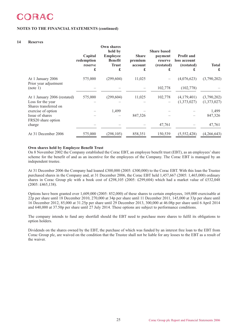### NOTES TO THE FINANCIAL STATEMENTS (continued)

### 14 Reserves

|                                            | Capital<br>redemption<br>reserve<br>£ | Own shares<br>held by<br><b>Employee</b><br><b>Benefit</b><br><b>Trust</b><br>£ | <b>Share</b><br>premium<br>account<br>£ | <b>Share based</b><br>payment<br>reserve<br>(restated)<br>£ | <b>Profit and</b><br>loss account<br>(restated) | <b>Total</b><br>£ |
|--------------------------------------------|---------------------------------------|---------------------------------------------------------------------------------|-----------------------------------------|-------------------------------------------------------------|-------------------------------------------------|-------------------|
| At 1 January 2006<br>Prior year adjustment | 575,000                               | (299, 604)                                                                      | 11,025                                  |                                                             | (4,076,623)                                     | (3,790,202)       |
| (note 1)                                   |                                       |                                                                                 |                                         | 102,778                                                     | (102,778)                                       |                   |
| At 1 January 2006 (restated)               | 575,000                               | (299, 604)                                                                      | 11,025                                  | 102,778                                                     | (4,179,401)                                     | (3,790,202)       |
| Loss for the year<br>Shares transferred on |                                       |                                                                                 |                                         |                                                             | (1,373,027)                                     | (1,373,027)       |
| exercise of option                         |                                       | 1,499                                                                           |                                         |                                                             |                                                 | 1,499             |
| Issue of shares<br>FRS20 share option      |                                       |                                                                                 | 847,326                                 |                                                             |                                                 | 847,326           |
| charge                                     |                                       |                                                                                 |                                         | 47,761                                                      |                                                 | 47,761            |
| At 31 December 2006                        | 575,000                               | (298, 105)                                                                      | 858,351                                 | 150,539                                                     | (5,552,428)                                     | (4,266,643)       |

#### Own shares held by Employee Benefit Trust

On 8 November 2002 the Company established the Corac EBT, an employee benefit trust (EBT), as an employees' share scheme for the benefit of and as an incentive for the employees of the Company. The Corac EBT is managed by an independent trustee.

At 31 December 2006 the Company had loaned £300,000 (2005: £300,000) to the Corac EBT. With this loan the Trustee purchased shares in the Company and, at 31 December 2006, the Corac EBT held 1,457,667 (2005: 1,465,000) ordinary shares in Corac Group plc with a book cost of £298,105 (2005: £299,604) which had a market value of £532,048 (2005: £465,138).

Options have been granted over 1,609,000 (2005: 852,000) of these shares to certain employees, 169,000 exercisable at 22p per share until 18 December 2010, 270,000 at 34p per share until 11 December 2011, 145,000 at 33p per share until 16 December 2012, 85,000 at 31.25p per share until 29 December 2013, 300,000 at 46.08p per share until 6 April 2014 and 640,000 at 37.50p per share until 27 July 2014. These options are subject to performance conditions.

The company intends to fund any shortfall should the EBT need to purchase more shares to fulfil its obligations to option holders.

Dividends on the shares owned by the EBT, the purchase of which was funded by an interest free loan to the EBT from Corac Group plc, are waived on the condition that the Trustee shall not be liable for any losses to the EBT as a result of the waiver.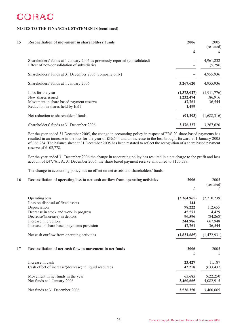### NOTES TO THE FINANCIAL STATEMENTS (continued)

# 15 Reconciliation of movement in shareholders' funds 2005 2006 2005

| £<br>Shareholders' funds at 1 January 2005 as previously reported (consolidated)<br>Effect of non-consolidation of subsidiaries<br>Shareholders' funds at 31 December 2005 (company only)<br>3,267,620<br>Shareholders' funds at 1 January 2006<br>Loss for the year<br>(1,373,027)<br>New shares issued<br>1,232,474<br>47,761<br>Movement in share based payment reserve<br>1,499<br>Reduction in shares held by EBT<br>Net reduction to shareholders' funds<br>(91,293)<br>Shareholders' funds at 31 December 2006<br>3,176,327 | Reconciliation of movement in snareholders' funds | 2000 | <b>ZUUS</b><br>(restated)        |
|------------------------------------------------------------------------------------------------------------------------------------------------------------------------------------------------------------------------------------------------------------------------------------------------------------------------------------------------------------------------------------------------------------------------------------------------------------------------------------------------------------------------------------|---------------------------------------------------|------|----------------------------------|
|                                                                                                                                                                                                                                                                                                                                                                                                                                                                                                                                    |                                                   |      | £                                |
|                                                                                                                                                                                                                                                                                                                                                                                                                                                                                                                                    |                                                   |      | 4,961,232<br>(5,296)             |
|                                                                                                                                                                                                                                                                                                                                                                                                                                                                                                                                    |                                                   |      | 4,955,936                        |
|                                                                                                                                                                                                                                                                                                                                                                                                                                                                                                                                    |                                                   |      | 4,955,936                        |
|                                                                                                                                                                                                                                                                                                                                                                                                                                                                                                                                    |                                                   |      | (1,911,776)<br>186,916<br>36,544 |
|                                                                                                                                                                                                                                                                                                                                                                                                                                                                                                                                    |                                                   |      | (1,688,316)                      |
|                                                                                                                                                                                                                                                                                                                                                                                                                                                                                                                                    |                                                   |      | 3,267,620                        |

For the year ended 31 December 2005, the change in accounting policy in respect of FRS 20 share-based payments has resulted in an increase in the loss for the year of £36,544 and an increase in the loss brought forward at 1 January 2005 of £66,234. The balance sheet at 31 December 2005 has been restated to reflect the recognition of a share based payment reserve of £102,778.

For the year ended 31 December 2006 the change in accounting policy has resulted in a net charge to the profit and loss account of £47,761. At 31 December 2006, the share based payment reserve amounted to £150,539.

The change in accounting policy has no effect on net assets and shareholders' funds.

| 16 | Reconciliation of operating loss to net cash outflow from operating activities | 2006        | 2005<br>(restated) |
|----|--------------------------------------------------------------------------------|-------------|--------------------|
|    |                                                                                | £           | £                  |
|    | Operating loss                                                                 | (2,364,965) | (2,210,239)        |
|    | Loss on disposal of fixed assets                                               | 144         |                    |
|    | Depreciation                                                                   | 98,222      | 112,655            |
|    | Decrease in stock and work in progress                                         | 45,571      | 4,429              |
|    | Decrease/(increase) in debtors                                                 | 96,596      | (84, 268)          |
|    | Increase in creditors                                                          | 244,986     | 667,948            |
|    | Increase in share-based payments provision                                     | 47,761      | 36,544             |
|    | Net cash outflow from operating activities                                     | (1,831,685) | (1,472,931)        |
| 17 | Reconciliation of net cash flow to movement in net funds                       | 2006        | 2005               |
|    |                                                                                | £           | £                  |
|    | Increase in cash                                                               | 23,427      | 11,187             |
|    | Cash effect of increase/(decrease) in liquid resources                         | 42,258      | (633, 437)         |
|    | Movement in net funds in the year                                              | 65,685      | (622, 250)         |
|    | Net funds at 1 January 2006                                                    | 3,460,665   | 4,082,915          |
|    | Net funds at 31 December 2006                                                  | 3,526,350   | 3,460,665          |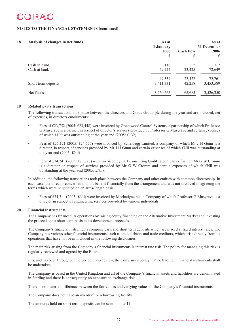### NOTES TO THE FINANCIAL STATEMENTS (continued)

| 18 | Analysis of changes in net funds | As at     |                  | As at       |
|----|----------------------------------|-----------|------------------|-------------|
|    |                                  | 1 January |                  | 31 December |
|    |                                  | 2006      | <b>Cash flow</b> | 2006        |
|    |                                  | £         | £                | £           |
|    | Cash in hand                     | 110       |                  | 112         |
|    | Cash at bank                     | 49,224    | 23,425           | 72,649      |
|    |                                  | 49,334    | 23,427           | 72,761      |
|    | Short term deposits              | 3,411,331 | 42,258           | 3,453,589   |
|    | Net funds                        | 3,460,665 | 65,685           | 3,526,350   |
|    |                                  |           |                  |             |

#### 19 Related party transactions

The following transactions took place between the directors and Corac Group plc during the year and are included, net of expenses, in directors emoluments:

- Fees of £23,752 (2005: £23,448) were invoiced by Greenwood Control Systems, a partnership of which Professor G Musgrave is a partner, in respect of director's services provided by Professor G Musgrave and certain expenses of which £199 was outstanding at the year end (2005: £132)
- Fees of £25,121 (2005: £24,575) were invoiced by Scheidegg Limited, a company of which Mr J H Gunn is a director, in respect of services provided by Mr J H Gunn and certain expenses of which £Nil was outstanding at the year end (2005: £Nil)
- Fees of £74,241 (2005: £73,828) were invoiced by GCI Consulting GmbH a company of which Mr G W Cromm is a director, in respect of services provided by Mr G W Cromm and certain expenses of which £Nil was outstanding at the year end (2005: £Nil).

In addition, the following transactions took place between the Company and other entities with common directorship. In each case, the director concerned did not benefit financially from the arrangement and was not involved in agreeing the terms which were negotiated on an arms-length basis:

Fees of £74,311 (2005: £Nil) were invoiced by Mechadyne plc, a Company of which Professor G Musgrave is a director in respect of engineering services provided by various individuals.

#### 20 Financial instruments

The Company has financed its operations by raising equity financing on the Alternative Investment Market and investing the proceeds on a short term basis as its development proceeds.

The Company's financial instruments comprise cash and short term deposits which are placed at fixed interest rates. The Company has various other financial instruments, such as trade debtors and trade creditors, which arise directly from its operations that have not been included in the following disclosures.

The main risk arising from the Company's financial instruments is interest rate risk. The policy for managing this risk is regularly reviewed and agreed by the Board.

It is, and has been throughout the period under review, the Company's policy that no trading in financial instruments shall be undertaken.

The Company is based in the United Kingdom and all of the Company's financial assets and liabilities are denominated in Sterling and there is consequently no exposure to exchange risk.

There is no material difference between the fair values and carrying values of the Company's financial instruments.

The Company does not have an overdraft or a borrowing facility.

The amounts held on short term deposits can be seen in note 11.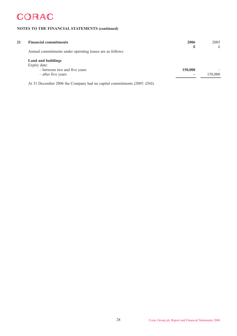# NOTES TO THE FINANCIAL STATEMENTS (continued)

| 21 | <b>Financial commitments</b>                                             | 2006    | 2005    |
|----|--------------------------------------------------------------------------|---------|---------|
|    | Annual commitments under operating leases are as follows:                | £       | £       |
|    | Land and buildings                                                       |         |         |
|    | Expiry date:                                                             |         |         |
|    | - between two and five years                                             | 150,000 |         |
|    | - after five years                                                       |         | 150.000 |
|    | At 31 December 2006 the Company had no capital commitments (2005: £Nil). |         |         |